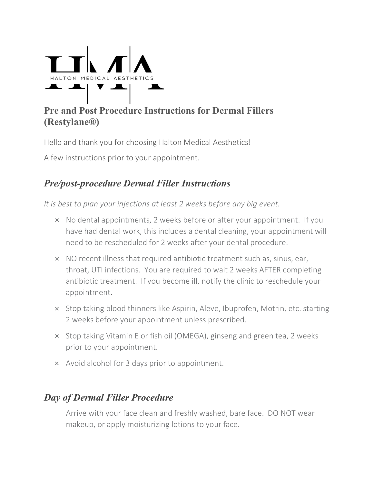

## **Pre and Post Procedure Instructions for Dermal Fillers (Restylane®)**

Hello and thank you for choosing Halton Medical Aesthetics!

A few instructions prior to your appointment.

# *Pre/post-procedure Dermal Filler Instructions*

*It is best to plan your injections at least 2 weeks before any big event.*

- × No dental appointments, 2 weeks before or after your appointment. If you have had dental work, this includes a dental cleaning, your appointment will need to be rescheduled for 2 weeks after your dental procedure.
- × NO recent illness that required antibiotic treatment such as, sinus, ear, throat, UTI infections. You are required to wait 2 weeks AFTER completing antibiotic treatment. If you become ill, notify the clinic to reschedule your appointment.
- × Stop taking blood thinners like Aspirin, Aleve, Ibuprofen, Motrin, etc. starting 2 weeks before your appointment unless prescribed.
- × Stop taking Vitamin E or fish oil (OMEGA), ginseng and green tea, 2 weeks prior to your appointment.
- × Avoid alcohol for 3 days prior to appointment.

## *Day of Dermal Filler Procedure*

Arrive with your face clean and freshly washed, bare face. DO NOT wear makeup, or apply moisturizing lotions to your face.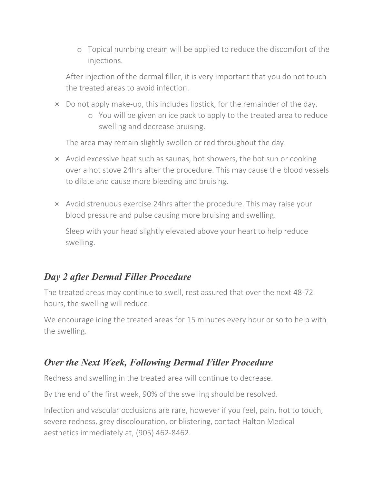o Topical numbing cream will be applied to reduce the discomfort of the injections.

After injection of the dermal filler, it is very important that you do not touch the treated areas to avoid infection.

- × Do not apply make-up, this includes lipstick, for the remainder of the day.
	- o You will be given an ice pack to apply to the treated area to reduce swelling and decrease bruising.

The area may remain slightly swollen or red throughout the day.

- × Avoid excessive heat such as saunas, hot showers, the hot sun or cooking over a hot stove 24hrs after the procedure. This may cause the blood vessels to dilate and cause more bleeding and bruising.
- × Avoid strenuous exercise 24hrs after the procedure. This may raise your blood pressure and pulse causing more bruising and swelling.

Sleep with your head slightly elevated above your heart to help reduce swelling.

## *Day 2 after Dermal Filler Procedure*

The treated areas may continue to swell, rest assured that over the next 48-72 hours, the swelling will reduce.

We encourage icing the treated areas for 15 minutes every hour or so to help with the swelling.

#### *Over the Next Week, Following Dermal Filler Procedure*

Redness and swelling in the treated area will continue to decrease.

By the end of the first week, 90% of the swelling should be resolved.

Infection and vascular occlusions are rare, however if you feel, pain, hot to touch, severe redness, grey discolouration, or blistering, contact Halton Medical aesthetics immediately at, (905) 462-8462.